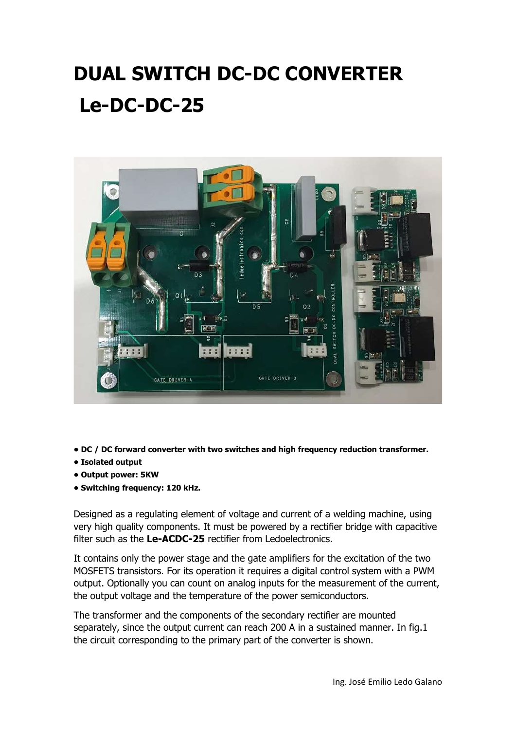## DUAL SWITCH DC-DC CONVERTER Le-DC-DC-25



- DC / DC forward converter with two switches and high frequency reduction transformer.
- Isolated output
- Output power: 5KW
- Switching frequency: 120 kHz.

Designed as a regulating element of voltage and current of a welding machine, using very high quality components. It must be powered by a rectifier bridge with capacitive filter such as the Le-ACDC-25 rectifier from Ledoelectronics.

It contains only the power stage and the gate amplifiers for the excitation of the two MOSFETS transistors. For its operation it requires a digital control system with a PWM output. Optionally you can count on analog inputs for the measurement of the current, the output voltage and the temperature of the power semiconductors.

The transformer and the components of the secondary rectifier are mounted separately, since the output current can reach 200 A in a sustained manner. In fig.1 the circuit corresponding to the primary part of the converter is shown.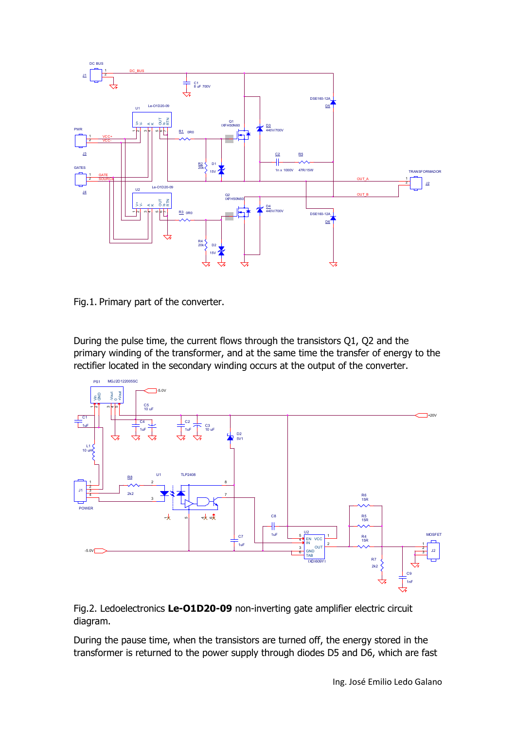

Fig.1. Primary part of the converter.

During the pulse time, the current flows through the transistors Q1, Q2 and the primary winding of the transformer, and at the same time the transfer of energy to the rectifier located in the secondary winding occurs at the output of the converter.



Fig.2. Ledoelectronics Le-O1D20-09 non-inverting gate amplifier electric circuit diagram.

During the pause time, when the transistors are turned off, the energy stored in the transformer is returned to the power supply through diodes D5 and D6, which are fast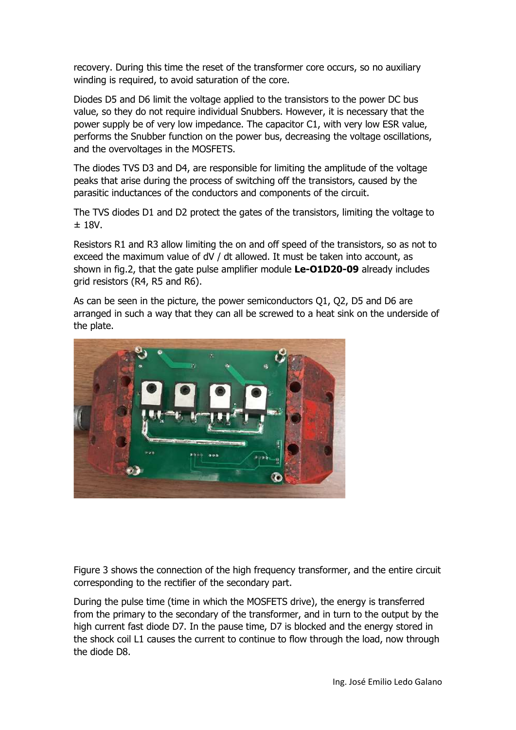recovery. During this time the reset of the transformer core occurs, so no auxiliary winding is required, to avoid saturation of the core.

Diodes D5 and D6 limit the voltage applied to the transistors to the power DC bus value, so they do not require individual Snubbers. However, it is necessary that the power supply be of very low impedance. The capacitor C1, with very low ESR value, performs the Snubber function on the power bus, decreasing the voltage oscillations, and the overvoltages in the MOSFETS.

The diodes TVS D3 and D4, are responsible for limiting the amplitude of the voltage peaks that arise during the process of switching off the transistors, caused by the parasitic inductances of the conductors and components of the circuit.

The TVS diodes D1 and D2 protect the gates of the transistors, limiting the voltage to ± 18V.

Resistors R1 and R3 allow limiting the on and off speed of the transistors, so as not to exceed the maximum value of dV / dt allowed. It must be taken into account, as shown in fig.2, that the gate pulse amplifier module Le-O1D20-09 already includes grid resistors (R4, R5 and R6).

As can be seen in the picture, the power semiconductors Q1, Q2, D5 and D6 are arranged in such a way that they can all be screwed to a heat sink on the underside of the plate.



Figure 3 shows the connection of the high frequency transformer, and the entire circuit corresponding to the rectifier of the secondary part.

During the pulse time (time in which the MOSFETS drive), the energy is transferred from the primary to the secondary of the transformer, and in turn to the output by the high current fast diode D7. In the pause time, D7 is blocked and the energy stored in the shock coil L1 causes the current to continue to flow through the load, now through the diode D8.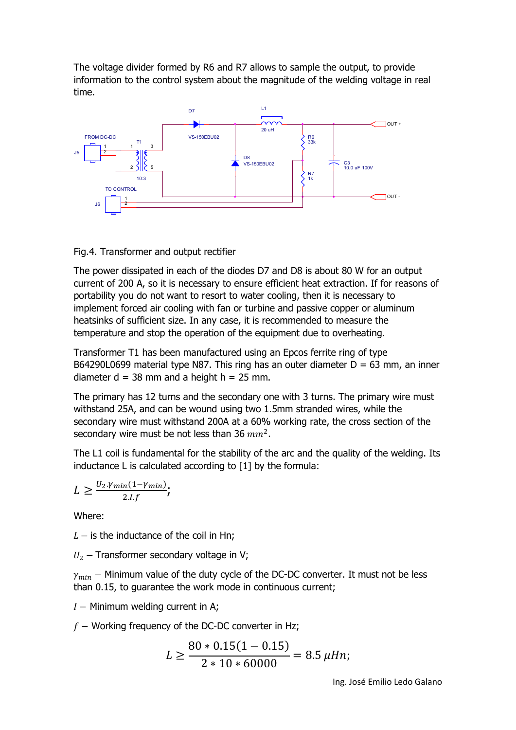The voltage divider formed by R6 and R7 allows to sample the output, to provide information to the control system about the magnitude of the welding voltage in real time.



## Fig.4. Transformer and output rectifier

The power dissipated in each of the diodes D7 and D8 is about 80 W for an output current of 200 A, so it is necessary to ensure efficient heat extraction. If for reasons of portability you do not want to resort to water cooling, then it is necessary to implement forced air cooling with fan or turbine and passive copper or aluminum heatsinks of sufficient size. In any case, it is recommended to measure the temperature and stop the operation of the equipment due to overheating.

Transformer T1 has been manufactured using an Epcos ferrite ring of type B64290L0699 material type N87. This ring has an outer diameter  $D = 63$  mm, an inner diameter  $d = 38$  mm and a height  $h = 25$  mm.

The primary has 12 turns and the secondary one with 3 turns. The primary wire must withstand 25A, and can be wound using two 1.5mm stranded wires, while the secondary wire must withstand 200A at a 60% working rate, the cross section of the secondary wire must be not less than 36  $mm^2$ .

The L1 coil is fundamental for the stability of the arc and the quality of the welding. Its inductance L is calculated according to [1] by the formula:

$$
L \geq \frac{U_2 \gamma_{min}(1-\gamma_{min})}{2.I.f},
$$

Where:

 $L -$  is the inductance of the coil in Hn;

 $U_2$  – Transformer secondary voltage in V;

 $\gamma_{min}$  – Minimum value of the duty cycle of the DC-DC converter. It must not be less than 0.15, to guarantee the work mode in continuous current;

 $I -$  Minimum welding current in A;

 $f -$  Working frequency of the DC-DC converter in Hz;

$$
L \ge \frac{80 * 0.15(1 - 0.15)}{2 * 10 * 60000} = 8.5 \ \mu Hn;
$$

Ing. José Emilio Ledo Galano